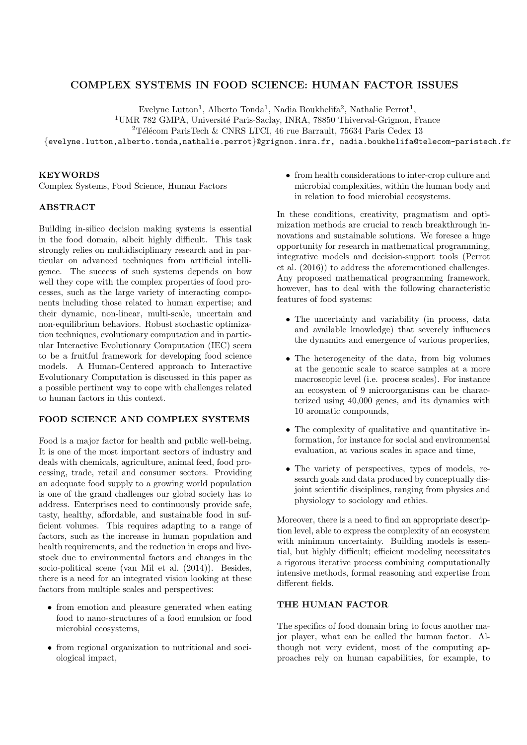# COMPLEX SYSTEMS IN FOOD SCIENCE: HUMAN FACTOR ISSUES

Evelyne Lutton<sup>1</sup>, Alberto Tonda<sup>1</sup>, Nadia Boukhelifa<sup>2</sup>, Nathalie Perrot<sup>1</sup>,

<sup>1</sup>UMR 782 GMPA, Université Paris-Saclay, INRA, 78850 Thiverval-Grignon, France

 $2$ Télécom ParisTech & CNRS LTCI, 46 rue Barrault, 75634 Paris Cedex 13

{evelyne.lutton,alberto.tonda,nathalie.perrot}@grignon.inra.fr, nadia.boukhelifa@telecom-paristech.fr

#### KEYWORDS

Complex Systems, Food Science, Human Factors

## ABSTRACT

Building in-silico decision making systems is essential in the food domain, albeit highly difficult. This task strongly relies on multidisciplinary research and in particular on advanced techniques from artificial intelligence. The success of such systems depends on how well they cope with the complex properties of food processes, such as the large variety of interacting components including those related to human expertise; and their dynamic, non-linear, multi-scale, uncertain and non-equilibrium behaviors. Robust stochastic optimization techniques, evolutionary computation and in particular Interactive Evolutionary Computation (IEC) seem to be a fruitful framework for developing food science models. A Human-Centered approach to Interactive Evolutionary Computation is discussed in this paper as a possible pertinent way to cope with challenges related to human factors in this context.

## FOOD SCIENCE AND COMPLEX SYSTEMS

Food is a major factor for health and public well-being. It is one of the most important sectors of industry and deals with chemicals, agriculture, animal feed, food processing, trade, retail and consumer sectors. Providing an adequate food supply to a growing world population is one of the grand challenges our global society has to address. Enterprises need to continuously provide safe, tasty, healthy, affordable, and sustainable food in sufficient volumes. This requires adapting to a range of factors, such as the increase in human population and health requirements, and the reduction in crops and livestock due to environmental factors and changes in the socio-political scene (van Mil et al. (2014)). Besides, there is a need for an integrated vision looking at these factors from multiple scales and perspectives:

- from emotion and pleasure generated when eating food to nano-structures of a food emulsion or food microbial ecosystems,
- from regional organization to nutritional and sociological impact,

• from health considerations to inter-crop culture and microbial complexities, within the human body and in relation to food microbial ecosystems.

In these conditions, creativity, pragmatism and optimization methods are crucial to reach breakthrough innovations and sustainable solutions. We foresee a huge opportunity for research in mathematical programming, integrative models and decision-support tools (Perrot et al. (2016)) to address the aforementioned challenges. Any proposed mathematical programming framework, however, has to deal with the following characteristic features of food systems:

- The uncertainty and variability (in process, data and available knowledge) that severely influences the dynamics and emergence of various properties,
- The heterogeneity of the data, from big volumes at the genomic scale to scarce samples at a more macroscopic level (i.e. process scales). For instance an ecosystem of 9 microorganisms can be characterized using 40,000 genes, and its dynamics with 10 aromatic compounds,
- The complexity of qualitative and quantitative information, for instance for social and environmental evaluation, at various scales in space and time,
- The variety of perspectives, types of models, research goals and data produced by conceptually disjoint scientific disciplines, ranging from physics and physiology to sociology and ethics.

Moreover, there is a need to find an appropriate description level, able to express the complexity of an ecosystem with minimum uncertainty. Building models is essential, but highly difficult; efficient modeling necessitates a rigorous iterative process combining computationally intensive methods, formal reasoning and expertise from different fields.

# THE HUMAN FACTOR

The specifics of food domain bring to focus another major player, what can be called the human factor. Although not very evident, most of the computing approaches rely on human capabilities, for example, to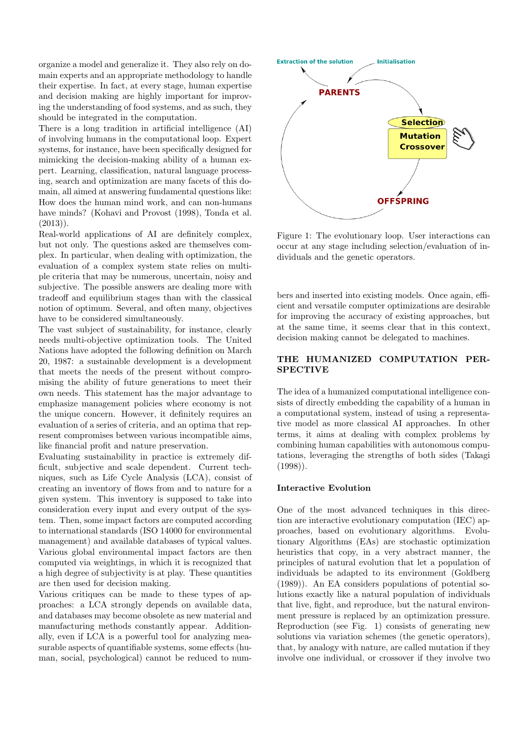organize a model and generalize it. They also rely on domain experts and an appropriate methodology to handle their expertise. In fact, at every stage, human expertise and decision making are highly important for improving the understanding of food systems, and as such, they should be integrated in the computation.

There is a long tradition in artificial intelligence (AI) of involving humans in the computational loop. Expert systems, for instance, have been specifically designed for mimicking the decision-making ability of a human expert. Learning, classification, natural language processing, search and optimization are many facets of this domain, all aimed at answering fundamental questions like: How does the human mind work, and can non-humans have minds? (Kohavi and Provost (1998), Tonda et al.  $(2013)$ .

Real-world applications of AI are definitely complex, but not only. The questions asked are themselves complex. In particular, when dealing with optimization, the evaluation of a complex system state relies on multiple criteria that may be numerous, uncertain, noisy and subjective. The possible answers are dealing more with tradeoff and equilibrium stages than with the classical notion of optimum. Several, and often many, objectives have to be considered simultaneously.

The vast subject of sustainability, for instance, clearly needs multi-objective optimization tools. The United Nations have adopted the following definition on March 20, 1987: a sustainable development is a development that meets the needs of the present without compromising the ability of future generations to meet their own needs. This statement has the major advantage to emphasize management policies where economy is not the unique concern. However, it definitely requires an evaluation of a series of criteria, and an optima that represent compromises between various incompatible aims, like financial profit and nature preservation.

Evaluating sustainability in practice is extremely difficult, subjective and scale dependent. Current techniques, such as Life Cycle Analysis (LCA), consist of creating an inventory of flows from and to nature for a given system. This inventory is supposed to take into consideration every input and every output of the system. Then, some impact factors are computed according to international standards (ISO 14000 for environmental management) and available databases of typical values. Various global environmental impact factors are then computed via weightings, in which it is recognized that a high degree of subjectivity is at play. These quantities are then used for decision making.

Various critiques can be made to these types of approaches: a LCA strongly depends on available data, and databases may become obsolete as new material and manufacturing methods constantly appear. Additionally, even if LCA is a powerful tool for analyzing measurable aspects of quantifiable systems, some effects (human, social, psychological) cannot be reduced to num-



Figure 1: The evolutionary loop. User interactions can occur at any stage including selection/evaluation of individuals and the genetic operators.

bers and inserted into existing models. Once again, efficient and versatile computer optimizations are desirable for improving the accuracy of existing approaches, but at the same time, it seems clear that in this context, decision making cannot be delegated to machines.

## THE HUMANIZED COMPUTATION PER-SPECTIVE

The idea of a humanized computational intelligence consists of directly embedding the capability of a human in a computational system, instead of using a representative model as more classical AI approaches. In other terms, it aims at dealing with complex problems by combining human capabilities with autonomous computations, leveraging the strengths of both sides (Takagi  $(1998)$ .

#### Interactive Evolution

One of the most advanced techniques in this direction are interactive evolutionary computation (IEC) approaches, based on evolutionary algorithms. Evolutionary Algorithms (EAs) are stochastic optimization heuristics that copy, in a very abstract manner, the principles of natural evolution that let a population of individuals be adapted to its environment (Goldberg (1989)). An EA considers populations of potential solutions exactly like a natural population of individuals that live, fight, and reproduce, but the natural environment pressure is replaced by an optimization pressure. Reproduction (see Fig. 1) consists of generating new solutions via variation schemes (the genetic operators), that, by analogy with nature, are called mutation if they involve one individual, or crossover if they involve two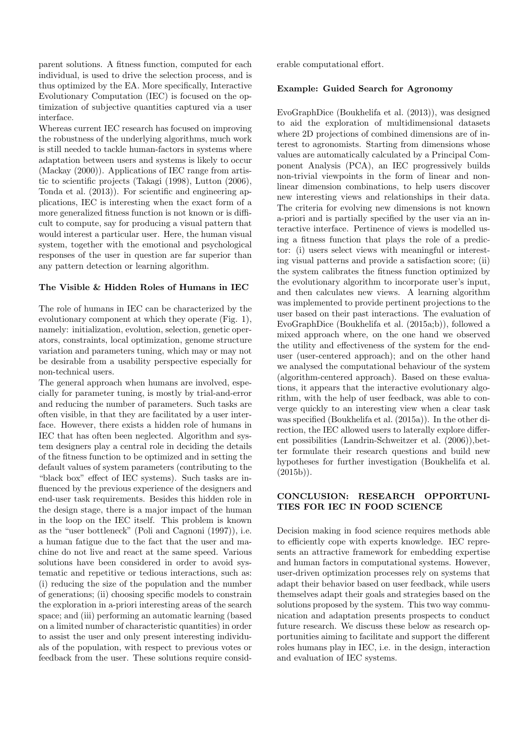parent solutions. A fitness function, computed for each individual, is used to drive the selection process, and is thus optimized by the EA. More specifically, Interactive Evolutionary Computation (IEC) is focused on the optimization of subjective quantities captured via a user interface.

Whereas current IEC research has focused on improving the robustness of the underlying algorithms, much work is still needed to tackle human-factors in systems where adaptation between users and systems is likely to occur (Mackay (2000)). Applications of IEC range from artistic to scientific projects (Takagi (1998), Lutton (2006), Tonda et al. (2013)). For scientific and engineering applications, IEC is interesting when the exact form of a more generalized fitness function is not known or is difficult to compute, say for producing a visual pattern that would interest a particular user. Here, the human visual system, together with the emotional and psychological responses of the user in question are far superior than any pattern detection or learning algorithm.

## The Visible & Hidden Roles of Humans in IEC

The role of humans in IEC can be characterized by the evolutionary component at which they operate (Fig. 1), namely: initialization, evolution, selection, genetic operators, constraints, local optimization, genome structure variation and parameters tuning, which may or may not be desirable from a usability perspective especially for non-technical users.

The general approach when humans are involved, especially for parameter tuning, is mostly by trial-and-error and reducing the number of parameters. Such tasks are often visible, in that they are facilitated by a user interface. However, there exists a hidden role of humans in IEC that has often been neglected. Algorithm and system designers play a central role in deciding the details of the fitness function to be optimized and in setting the default values of system parameters (contributing to the "black box" effect of IEC systems). Such tasks are influenced by the previous experience of the designers and end-user task requirements. Besides this hidden role in the design stage, there is a major impact of the human in the loop on the IEC itself. This problem is known as the "user bottleneck" (Poli and Cagnoni (1997)), i.e. a human fatigue due to the fact that the user and machine do not live and react at the same speed. Various solutions have been considered in order to avoid systematic and repetitive or tedious interactions, such as: (i) reducing the size of the population and the number of generations; (ii) choosing specific models to constrain the exploration in a-priori interesting areas of the search space; and (iii) performing an automatic learning (based on a limited number of characteristic quantities) in order to assist the user and only present interesting individuals of the population, with respect to previous votes or feedback from the user. These solutions require considerable computational effort.

#### Example: Guided Search for Agronomy

EvoGraphDice (Boukhelifa et al. (2013)), was designed to aid the exploration of multidimensional datasets where 2D projections of combined dimensions are of interest to agronomists. Starting from dimensions whose values are automatically calculated by a Principal Component Analysis (PCA), an IEC progressively builds non-trivial viewpoints in the form of linear and nonlinear dimension combinations, to help users discover new interesting views and relationships in their data. The criteria for evolving new dimensions is not known a-priori and is partially specified by the user via an interactive interface. Pertinence of views is modelled using a fitness function that plays the role of a predictor: (i) users select views with meaningful or interesting visual patterns and provide a satisfaction score; (ii) the system calibrates the fitness function optimized by the evolutionary algorithm to incorporate user's input, and then calculates new views. A learning algorithm was implemented to provide pertinent projections to the user based on their past interactions. The evaluation of EvoGraphDice (Boukhelifa et al. (2015a;b)), followed a mixed approach where, on the one hand we observed the utility and effectiveness of the system for the enduser (user-centered approach); and on the other hand we analysed the computational behaviour of the system (algorithm-centered approach). Based on these evaluations, it appears that the interactive evolutionary algorithm, with the help of user feedback, was able to converge quickly to an interesting view when a clear task was specified (Boukhelifa et al. (2015a)). In the other direction, the IEC allowed users to laterally explore different possibilities (Landrin-Schweitzer et al. (2006)),better formulate their research questions and build new hypotheses for further investigation (Boukhelifa et al.  $(2015b)$ ).

## CONCLUSION: RESEARCH OPPORTUNI-TIES FOR IEC IN FOOD SCIENCE

Decision making in food science requires methods able to efficiently cope with experts knowledge. IEC represents an attractive framework for embedding expertise and human factors in computational systems. However, user-driven optimization processes rely on systems that adapt their behavior based on user feedback, while users themselves adapt their goals and strategies based on the solutions proposed by the system. This two way communication and adaptation presents prospects to conduct future research. We discuss these below as research opportunities aiming to facilitate and support the different roles humans play in IEC, i.e. in the design, interaction and evaluation of IEC systems.